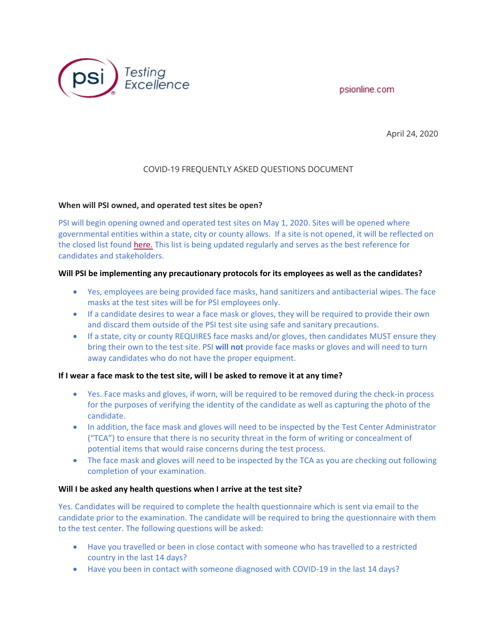



April 24, 2020

# COVID-19 FREQUENTLY ASKED QUESTIONS DOCUMENT

# **When will PSI owned, and operated test sites be open?**

PSI will begin opening owned and operated test sites on May 1, 2020. Sites will be opened where governmental entities within a state, city or county allows. If a site is not opened, it will be reflected on the closed list found [here.](https://www.psionline.com/closures) This list is being updated regularly and serves as the best reference for candidates and stakeholders.

### **Will PSI be implementing any precautionary protocols for its employees as well as the candidates?**

- Yes, employees are being provided face masks, hand sanitizers and antibacterial wipes. The face masks at the test sites will be for PSI employees only.
- If a candidate desires to wear a face mask or gloves, they will be required to provide their own and discard them outside of the PSI test site using safe and sanitary precautions.
- If a state, city or county REQUIRES face masks and/or gloves, then candidates MUST ensure they bring their own to the test site. PSI **will not** provide face masks or gloves and will need to turn away candidates who do not have the proper equipment.

# **If I wear a face mask to the test site, will I be asked to remove it at any time?**

- Yes. Face masks and gloves, if worn, will be required to be removed during the check-in process for the purposes of verifying the identity of the candidate as well as capturing the photo of the candidate.
- In addition, the face mask and gloves will need to be inspected by the Test Center Administrator ("TCA") to ensure that there is no security threat in the form of writing or concealment of potential items that would raise concerns during the test process.
- The face mask and gloves will need to be inspected by the TCA as you are checking out following completion of your examination.

# **Will I be asked any health questions when I arrive at the test site?**

Yes. Candidates will be required to complete the health questionnaire which is sent via email to the candidate prior to the examination. The candidate will be required to bring the questionnaire with them to the test center. The following questions will be asked:

- Have you travelled or been in close contact with someone who has travelled to a restricted country in the last 14 days?
- Have you been in contact with someone diagnosed with COVID-19 in the last 14 days?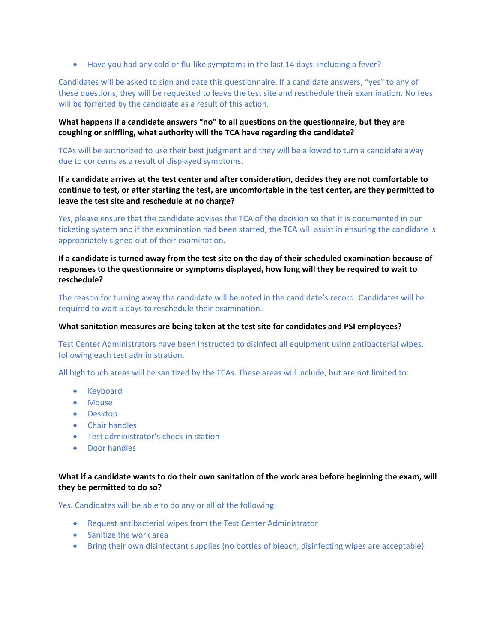• Have you had any cold or flu-like symptoms in the last 14 days, including a fever?

Candidates will be asked to sign and date this questionnaire. If a candidate answers, "yes" to any of these questions, they will be requested to leave the test site and reschedule their examination. No fees will be forfeited by the candidate as a result of this action.

**What happens if a candidate answers "no" to all questions on the questionnaire, but they are coughing or sniffling, what authority will the TCA have regarding the candidate?**

TCAs will be authorized to use their best judgment and they will be allowed to turn a candidate away due to concerns as a result of displayed symptoms.

**If a candidate arrives at the test center and after consideration, decides they are not comfortable to continue to test, or after starting the test, are uncomfortable in the test center, are they permitted to leave the test site and reschedule at no charge?**

Yes, please ensure that the candidate advises the TCA of the decision so that it is documented in our ticketing system and if the examination had been started, the TCA will assist in ensuring the candidate is appropriately signed out of their examination.

**If a candidate is turned away from the test site on the day of their scheduled examination because of responses to the questionnaire or symptoms displayed, how long will they be required to wait to reschedule?**

The reason for turning away the candidate will be noted in the candidate's record. Candidates will be required to wait 5 days to reschedule their examination.

#### **What sanitation measures are being taken at the test site for candidates and PSI employees?**

Test Center Administrators have been instructed to disinfect all equipment using antibacterial wipes, following each test administration.

All high touch areas will be sanitized by the TCAs. These areas will include, but are not limited to:

- Keyboard
- Mouse
- Desktop
- Chair handles
- Test administrator's check-in station
- Door handles

# **What if a candidate wants to do their own sanitation of the work area before beginning the exam, will they be permitted to do so?**

Yes. Candidates will be able to do any or all of the following:

- Request antibacterial wipes from the Test Center Administrator
- Sanitize the work area
- Bring their own disinfectant supplies (no bottles of bleach, disinfecting wipes are acceptable)